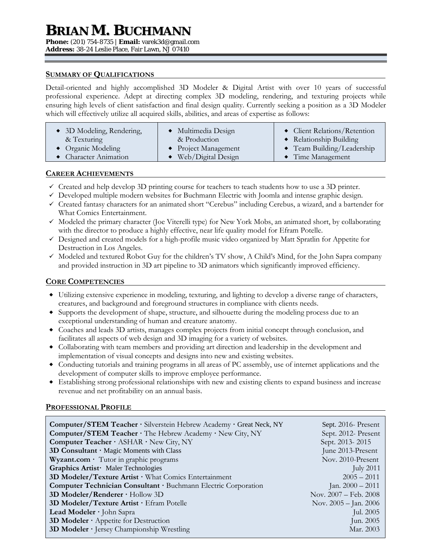# **BRIAN M. BUCHMANN**

**Phone:** (201) 754-8735 | **Email:** varek3d@gmail.com

**Address:** 38-24 Leslie Place, Fair Lawn, NJ 07410

### **SUMMARY OF QUALIFICATIONS**

Detail-oriented and highly accomplished 3D Modeler & Digital Artist with over 10 years of successful professional experience. Adept at directing complex 3D modeling, rendering, and texturing projects while ensuring high levels of client satisfaction and final design quality. Currently seeking a position as a 3D Modeler which will effectively utilize all acquired skills, abilities, and areas of expertise as follows:

| • 3D Modeling, Rendering,  | • Multimedia Design  | $\bullet$ Client Relations/Retention |
|----------------------------|----------------------|--------------------------------------|
| & Texturing                | & Production         | • Relationship Building              |
| $\bullet$ Organic Modeling | • Project Management | $\bullet$ Team Building/Leadership   |
| • Character Animation      | Web/Digital Design   | $\bullet$ Time Management            |

## **CAREER ACHIEVEMENTS**

- $\checkmark$  Created and help develop 3D printing course for teachers to teach students how to use a 3D printer.
- $\checkmark$  Developed multiple modern websites for Buchmann Electric with Joomla and intense graphic design.
- Created fantasy characters for an animated short "Cerebus" including Cerebus, a wizard, and a bartender for What Comics Entertainment.
- $\checkmark$  Modeled the primary character (Joe Viterelli type) for New York Mobs, an animated short, by collaborating with the director to produce a highly effective, near life quality model for Efram Potelle.
- $\checkmark$  Designed and created models for a high-profile music video organized by Matt Spratlin for Appetite for Destruction in Los Angeles.
- $\checkmark$  Modeled and textured Robot Guy for the children's TV show, A Child's Mind, for the John Sapra company and provided instruction in 3D art pipeline to 3D animators which significantly improved efficiency.

## **CORE COMPETENCIES**

- Utilizing extensive experience in modeling, texturing, and lighting to develop a diverse range of characters, creatures, and background and foreground structures in compliance with clients needs.
- Supports the development of shape, structure, and silhouette during the modeling process due to an exceptional understanding of human and creature anatomy.
- Coaches and leads 3D artists, manages complex projects from initial concept through conclusion, and facilitates all aspects of web design and 3D imaging for a variety of websites.
- Collaborating with team members and providing art direction and leadership in the development and implementation of visual concepts and designs into new and existing websites.
- Conducting tutorials and training programs in all areas of PC assembly, use of internet applications and the development of computer skills to improve employee performance.
- Establishing strong professional relationships with new and existing clients to expand business and increase revenue and net profitability on an annual basis.

# **PROFESSIONAL PROFILE**

| <b>Computer/STEM Teacher</b> · Silverstein Hebrew Academy · Great Neck, NY | Sept. 2016 - Present  |
|----------------------------------------------------------------------------|-----------------------|
| Computer/STEM Teacher · The Hebrew Academy · New City, NY                  | Sept. 2012- Present   |
| Computer Teacher · ASHAR · New City, NY                                    | Sept. 2013-2015       |
| 3D Consultant · Magic Moments with Class                                   | June 2013-Present     |
| $Wyzant.com$ Tutor in graphic programs                                     | Nov. 2010-Present     |
| Graphics Artist Maler Technologies                                         | July $2011$           |
| 3D Modeler/Texture Artist $\cdot$ What Comics Entertainment                | $2005 - 2011$         |
| Computer Technician Consultant · Buchmann Electric Corporation             | Jan. $2000 - 2011$    |
| 3D Modeler/Renderer $\cdot$ Hollow 3D                                      | Nov. 2007 - Feb. 2008 |
| 3D Modeler/Texture Artist · Efram Potelle                                  | Nov. 2005 - Jan. 2006 |
| Lead Modeler · John Sapra                                                  | Jul. 2005             |
| 3D Modeler · Appetite for Destruction                                      | Jun. 2005             |
| 3D Modeler · Jersey Championship Wrestling                                 | Mar. 2003             |